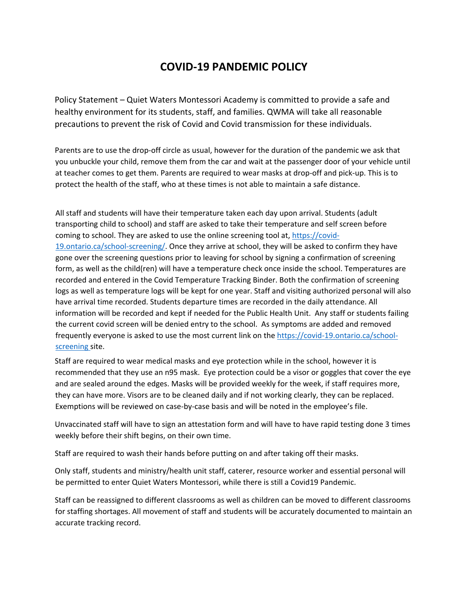### **COVID-19 PANDEMIC POLICY**

Policy Statement – Quiet Waters Montessori Academy is committed to provide a safe and healthy environment for its students, staff, and families. QWMA will take all reasonable precautions to prevent the risk of Covid and Covid transmission for these individuals.

Parents are to use the drop-off circle as usual, however for the duration of the pandemic we ask that you unbuckle your child, remove them from the car and wait at the passenger door of your vehicle until at teacher comes to get them. Parents are required to wear masks at drop-off and pick-up. This is to protect the health of the staff, who at these times is not able to maintain a safe distance.

All staff and students will have their temperature taken each day upon arrival. Students (adult transporting child to school) and staff are asked to take their temperature and self screen before coming to school. They are asked to use the online screening tool at, https://covid-19.ontario.ca/school-screening/. Once they arrive at school, they will be asked to confirm they have gone over the screening questions prior to leaving for school by signing a confirmation of screening form, as well as the child(ren) will have a temperature check once inside the school. Temperatures are recorded and entered in the Covid Temperature Tracking Binder. Both the confirmation of screening logs as well as temperature logs will be kept for one year. Staff and visiting authorized personal will also have arrival time recorded. Students departure times are recorded in the daily attendance. All information will be recorded and kept if needed for the Public Health Unit. Any staff or students failing the current covid screen will be denied entry to the school. As symptoms are added and removed frequently everyone is asked to use the most current link on the [https://covid-19.ontario.ca/school](https://covid-19.ontario.ca/school-screening)[screening](https://covid-19.ontario.ca/school-screening) site.

Staff are required to wear medical masks and eye protection while in the school, however it is recommended that they use an n95 mask. Eye protection could be a visor or goggles that cover the eye and are sealed around the edges. Masks will be provided weekly for the week, if staff requires more, they can have more. Visors are to be cleaned daily and if not working clearly, they can be replaced. Exemptions will be reviewed on case-by-case basis and will be noted in the employee's file.

Unvaccinated staff will have to sign an attestation form and will have to have rapid testing done 3 times weekly before their shift begins, on their own time.

Staff are required to wash their hands before putting on and after taking off their masks.

Only staff, students and ministry/health unit staff, caterer, resource worker and essential personal will be permitted to enter Quiet Waters Montessori, while there is still a Covid19 Pandemic.

Staff can be reassigned to different classrooms as well as children can be moved to different classrooms for staffing shortages. All movement of staff and students will be accurately documented to maintain an accurate tracking record.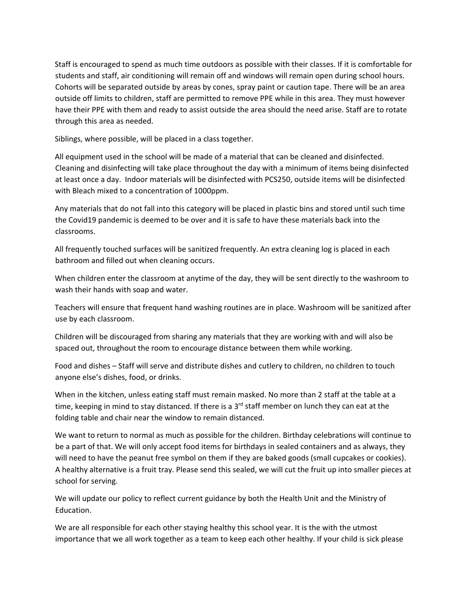Staff is encouraged to spend as much time outdoors as possible with their classes. If it is comfortable for students and staff, air conditioning will remain off and windows will remain open during school hours. Cohorts will be separated outside by areas by cones, spray paint or caution tape. There will be an area outside off limits to children, staff are permitted to remove PPE while in this area. They must however have their PPE with them and ready to assist outside the area should the need arise. Staff are to rotate through this area as needed.

Siblings, where possible, will be placed in a class together.

All equipment used in the school will be made of a material that can be cleaned and disinfected. Cleaning and disinfecting will take place throughout the day with a minimum of items being disinfected at least once a day. Indoor materials will be disinfected with PCS250, outside items will be disinfected with Bleach mixed to a concentration of 1000ppm.

Any materials that do not fall into this category will be placed in plastic bins and stored until such time the Covid19 pandemic is deemed to be over and it is safe to have these materials back into the classrooms.

All frequently touched surfaces will be sanitized frequently. An extra cleaning log is placed in each bathroom and filled out when cleaning occurs.

When children enter the classroom at anytime of the day, they will be sent directly to the washroom to wash their hands with soap and water.

Teachers will ensure that frequent hand washing routines are in place. Washroom will be sanitized after use by each classroom.

Children will be discouraged from sharing any materials that they are working with and will also be spaced out, throughout the room to encourage distance between them while working.

Food and dishes – Staff will serve and distribute dishes and cutlery to children, no children to touch anyone else's dishes, food, or drinks.

When in the kitchen, unless eating staff must remain masked. No more than 2 staff at the table at a time, keeping in mind to stay distanced. If there is a 3<sup>rd</sup> staff member on lunch they can eat at the folding table and chair near the window to remain distanced.

We want to return to normal as much as possible for the children. Birthday celebrations will continue to be a part of that. We will only accept food items for birthdays in sealed containers and as always, they will need to have the peanut free symbol on them if they are baked goods (small cupcakes or cookies). A healthy alternative is a fruit tray. Please send this sealed, we will cut the fruit up into smaller pieces at school for serving.

We will update our policy to reflect current guidance by both the Health Unit and the Ministry of Education.

We are all responsible for each other staying healthy this school year. It is the with the utmost importance that we all work together as a team to keep each other healthy. If your child is sick please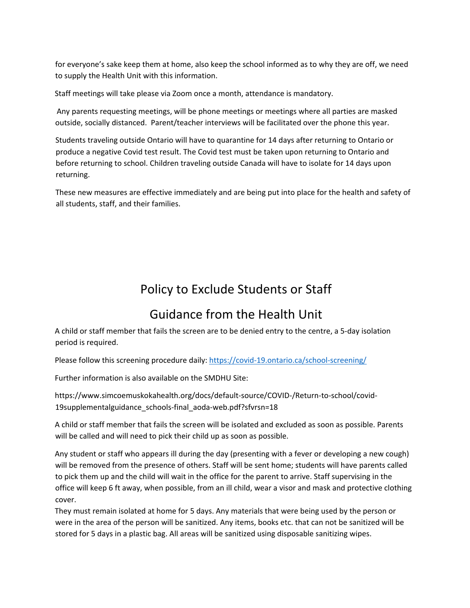for everyone's sake keep them at home, also keep the school informed as to why they are off, we need to supply the Health Unit with this information.

Staff meetings will take please via Zoom once a month, attendance is mandatory.

Any parents requesting meetings, will be phone meetings or meetings where all parties are masked outside, socially distanced. Parent/teacher interviews will be facilitated over the phone this year.

Students traveling outside Ontario will have to quarantine for 14 days after returning to Ontario or produce a negative Covid test result. The Covid test must be taken upon returning to Ontario and before returning to school. Children traveling outside Canada will have to isolate for 14 days upon returning.

These new measures are effective immediately and are being put into place for the health and safety of all students, staff, and their families.

# Policy to Exclude Students or Staff

## Guidance from the Health Unit

A child or staff member that fails the screen are to be denied entry to the centre, a 5-day isolation period is required.

Please follow this screening procedure daily[: https://covid-19.ontario.ca/school-screening/](https://covid-19.ontario.ca/school-screening/)

Further information is also available on the SMDHU Site:

https://www.simcoemuskokahealth.org/docs/default-source/COVID-/Return-to-school/covid-19supplementalguidance\_schools-final\_aoda-web.pdf?sfvrsn=18

A child or staff member that fails the screen will be isolated and excluded as soon as possible. Parents will be called and will need to pick their child up as soon as possible.

Any student or staff who appears ill during the day (presenting with a fever or developing a new cough) will be removed from the presence of others. Staff will be sent home; students will have parents called to pick them up and the child will wait in the office for the parent to arrive. Staff supervising in the office will keep 6 ft away, when possible, from an ill child, wear a visor and mask and protective clothing cover.

They must remain isolated at home for 5 days. Any materials that were being used by the person or were in the area of the person will be sanitized. Any items, books etc. that can not be sanitized will be stored for 5 days in a plastic bag. All areas will be sanitized using disposable sanitizing wipes.